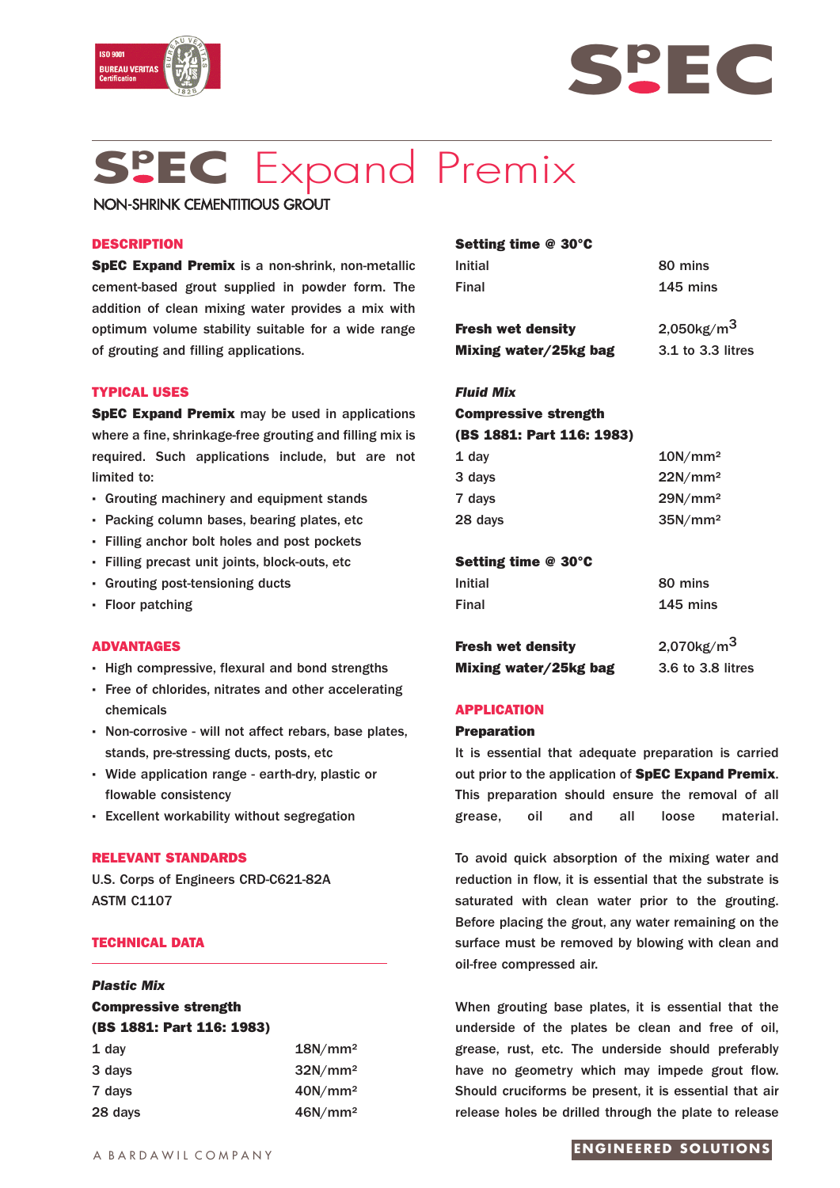



# **Sp EC** Expand Premix

NON-SHRINK CEMENTITIOUS GROUT

## **DESCRIPTION**

**SpEC Expand Premix** is a non-shrink, non-metallic cement-based grout supplied in powder form. The addition of clean mixing water provides a mix with optimum volume stability suitable for a wide range of grouting and filling applications.

# **TYPICAL USES**

**SpEC Expand Premix** may be used in applications where a fine, shrinkage-free grouting and filling mix is required. Such applications include, but are not limited to:

- **·** Grouting machinery and equipment stands
- **·** Packing column bases, bearing plates, etc
- **·** Filling anchor bolt holes and post pockets
- **·** Filling precast unit joints, block-outs, etc
- **·** Grouting post-tensioning ducts
- **·** Floor patching

#### **ADVANTAGES**

- **·** High compressive, flexural and bond strengths
- **·** Free of chlorides, nitrates and other accelerating chemicals
- **·** Non-corrosive will not affect rebars, base plates, stands, pre-stressing ducts, posts, etc
- **·** Wide application range earth-dry, plastic or flowable consistency
- **·** Excellent workability without segregation

#### **RELEVANT STANDARDS**

U.S. Corps of Engineers CRD-C621-82A ASTM C1107

# **TECHNICAL DATA**

# *Plastic Mix*

# **Compressive strength (BS 1881: Part 116: 1983)**

| $1$ day | 18N/mm <sup>2</sup> |
|---------|---------------------|
| 3 days  | $32N/mm^2$          |
| 7 days  | 40N/mm <sup>2</sup> |
| 28 days | 46N/mm <sup>2</sup> |

| 80 mins                   |
|---------------------------|
| 145 mins                  |
| $2,050$ kg/m <sup>3</sup> |
| 3.1 to 3.3 litres         |
|                           |

# *Fluid Mix* **Compressive strength (BS 1881: Part 116: 1983)**

| $1$ day | 10N/mm <sup>2</sup> |
|---------|---------------------|
| 3 days  | $22N/mm^2$          |
| 7 days  | 29N/mm <sup>2</sup> |
| 28 days | 35N/mm <sup>2</sup> |
|         |                     |

## **Setting time @ 30°C**

| 80 mins                   |
|---------------------------|
| $145$ mins                |
| $2,070$ kg/m <sup>3</sup> |
|                           |

**Mixing water/25kg bag** 3.6 to 3.8 litres

#### **APPLICATION**

#### **Preparation**

It is essential that adequate preparation is carried out prior to the application of **SpEC Expand Premix**. This preparation should ensure the removal of all grease, oil and all loose material.

To avoid quick absorption of the mixing water and reduction in flow, it is essential that the substrate is saturated with clean water prior to the grouting. Before placing the grout, any water remaining on the surface must be removed by blowing with clean and oil-free compressed air.

When grouting base plates, it is essential that the underside of the plates be clean and free of oil, grease, rust, etc. The underside should preferably have no geometry which may impede grout flow. Should cruciforms be present, it is essential that air release holes be drilled through the plate to release

# **ENGINEERED SOLUTIONS**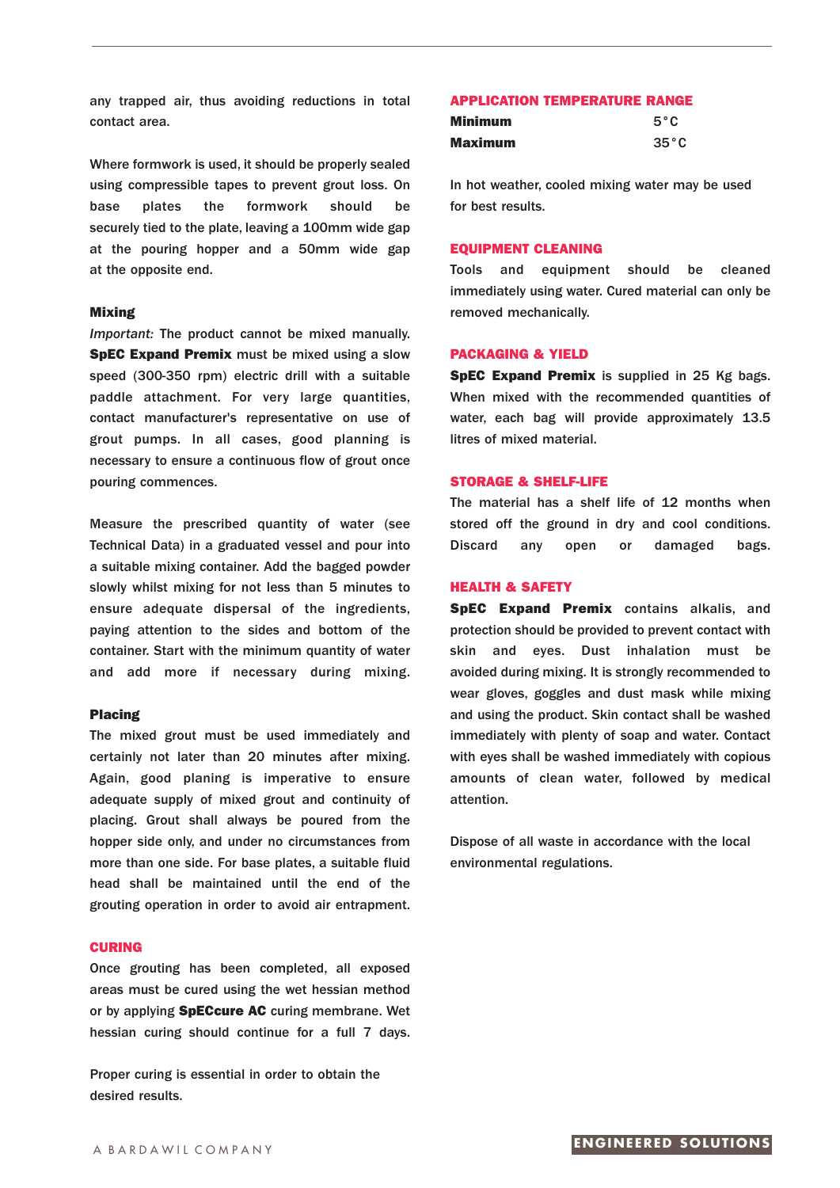any trapped air, thus avoiding reductions in total contact area.

Where formwork is used, it should be properly sealed using compressible tapes to prevent grout loss. On base plates the formwork should be securely tied to the plate, leaving a 100mm wide gap at the pouring hopper and a 50mm wide gap at the opposite end.

#### **Mixing**

*Important:* The product cannot be mixed manually. **SpEC Expand Premix** must be mixed using a slow speed (300-350 rpm) electric drill with a suitable paddle attachment. For very large quantities, contact manufacturer's representative on use of grout pumps. In all cases, good planning is necessary to ensure a continuous flow of grout once pouring commences.

Measure the prescribed quantity of water (see Technical Data) in a graduated vessel and pour into a suitable mixing container. Add the bagged powder slowly whilst mixing for not less than 5 minutes to ensure adequate dispersal of the ingredients, paying attention to the sides and bottom of the container. Start with the minimum quantity of water and add more if necessary during mixing.

#### **Placing**

The mixed grout must be used immediately and certainly not later than 20 minutes after mixing. Again, good planing is imperative to ensure adequate supply of mixed grout and continuity of placing. Grout shall always be poured from the hopper side only, and under no circumstances from more than one side. For base plates, a suitable fluid head shall be maintained until the end of the grouting operation in order to avoid air entrapment.

#### **CURING**

Once grouting has been completed, all exposed areas must be cured using the wet hessian method or by applying **SpECcure AC** curing membrane. Wet hessian curing should continue for a full 7 days.

Proper curing is essential in order to obtain the desired results.

#### **APPLICATION TEMPERATURE RANGE**

| <b>Minimum</b> | $5^{\circ}$ C  |
|----------------|----------------|
| Maximum        | $35^{\circ}$ C |

In hot weather, cooled mixing water may be used for best results.

#### **EQUIPMENT CLEANING**

Tools and equipment should be cleaned immediately using water. Cured material can only be removed mechanically.

#### **PACKAGING & YIELD**

**SpEC Expand Premix** is supplied in 25 Kg bags. When mixed with the recommended quantities of water, each bag will provide approximately 13.5 litres of mixed material.

#### **STORAGE & SHELF-LIFE**

The material has a shelf life of 12 months when stored off the ground in dry and cool conditions. Discard any open or damaged bags.

#### **HEALTH & SAFETY**

**SpEC Expand Premix** contains alkalis, and protection should be provided to prevent contact with skin and eyes. Dust inhalation must be avoided during mixing. It is strongly recommended to wear gloves, goggles and dust mask while mixing and using the product. Skin contact shall be washed immediately with plenty of soap and water. Contact with eyes shall be washed immediately with copious amounts of clean water, followed by medical attention.

Dispose of all waste in accordance with the local environmental regulations.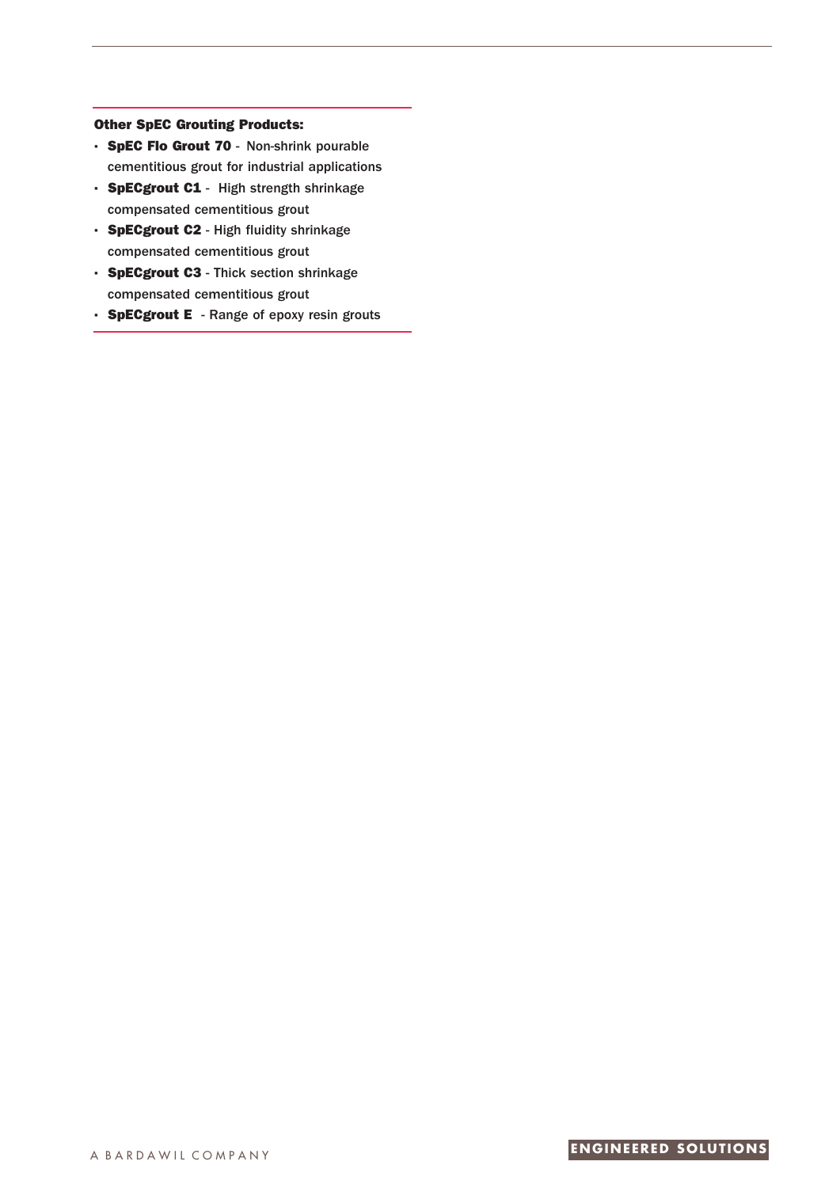# **Other SpEC Grouting Products:**

- **· SpEC Flo Grout 70** Non-shrink pourable cementitious grout for industrial applications
- **· SpECgrout C1** High strength shrinkage compensated cementitious grout
- **· SpECgrout C2** High fluidity shrinkage compensated cementitious grout
- **· SpECgrout C3** Thick section shrinkage compensated cementitious grout
- **· SpECgrout E** Range of epoxy resin grouts